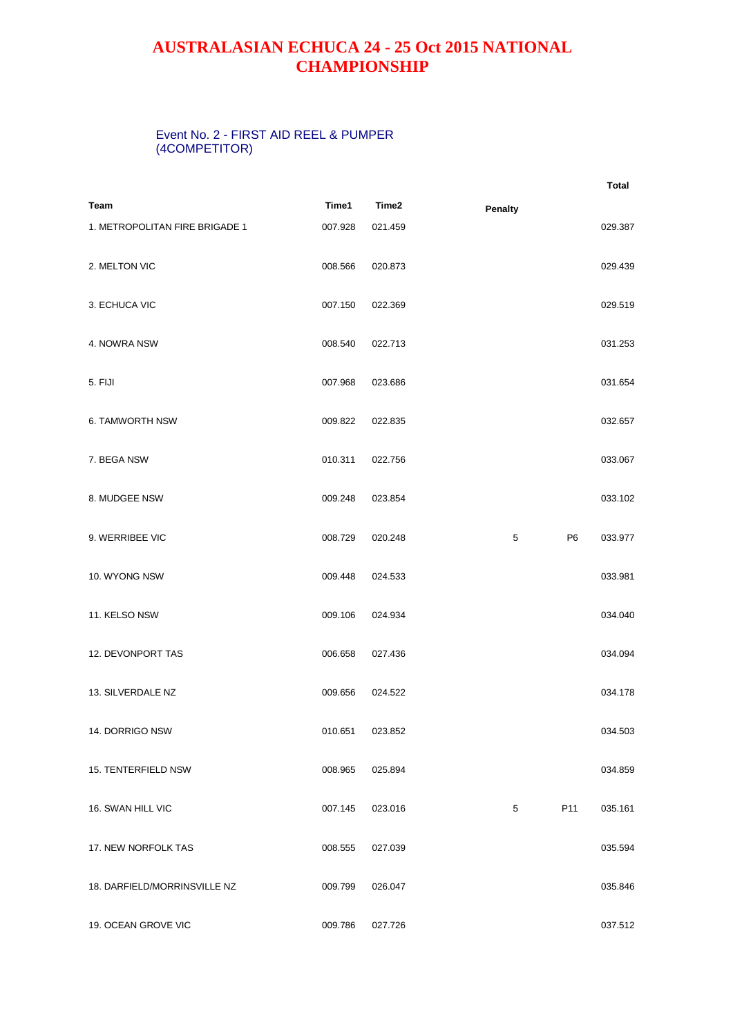## **AUSTRALASIAN ECHUCA 24 - 25 Oct 2015 NATIONAL CHAMPIONSHIP**

## Event No. 2 - FIRST AID REEL & PUMPER (4COMPETITOR)

|                                |         |         |                     | <b>Total</b> |
|--------------------------------|---------|---------|---------------------|--------------|
| Team                           | Time1   | Time2   | <b>Penalty</b>      |              |
| 1. METROPOLITAN FIRE BRIGADE 1 | 007.928 | 021.459 |                     | 029.387      |
| 2. MELTON VIC                  | 008.566 | 020.873 |                     | 029.439      |
| 3. ECHUCA VIC                  | 007.150 | 022.369 |                     | 029.519      |
| 4. NOWRA NSW                   | 008.540 | 022.713 |                     | 031.253      |
| 5. FIJI                        | 007.968 | 023.686 |                     | 031.654      |
| <b>6. TAMWORTH NSW</b>         | 009.822 | 022.835 |                     | 032.657      |
| 7. BEGA NSW                    | 010.311 | 022.756 |                     | 033.067      |
| 8. MUDGEE NSW                  | 009.248 | 023.854 |                     | 033.102      |
| 9. WERRIBEE VIC                | 008.729 | 020.248 | P <sub>6</sub><br>5 | 033.977      |
| 10. WYONG NSW                  | 009.448 | 024.533 |                     | 033.981      |
| 11. KELSO NSW                  | 009.106 | 024.934 |                     | 034.040      |
| 12. DEVONPORT TAS              | 006.658 | 027.436 |                     | 034.094      |
| 13. SILVERDALE NZ              | 009.656 | 024.522 |                     | 034.178      |
| 14. DORRIGO NSW                | 010.651 | 023.852 |                     | 034.503      |
| 15. TENTERFIELD NSW            | 008.965 | 025.894 |                     | 034.859      |
| 16. SWAN HILL VIC              | 007.145 | 023.016 | 5<br>P11            | 035.161      |
| 17. NEW NORFOLK TAS            | 008.555 | 027.039 |                     | 035.594      |
| 18. DARFIELD/MORRINSVILLE NZ   | 009.799 | 026.047 |                     | 035.846      |
| 19. OCEAN GROVE VIC            | 009.786 | 027.726 |                     | 037.512      |